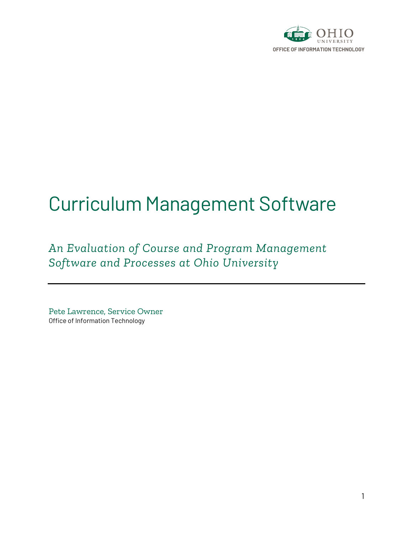

# Curriculum Management Software

*An Evaluation of Course and Program Management Software and Processes at Ohio University*

Pete Lawrence, Service Owner Office of Information Technology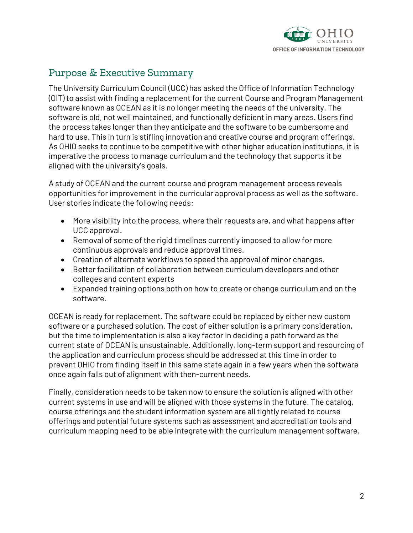

## Purpose & Executive Summary

The University Curriculum Council (UCC) has asked the Office of Information Technology (OIT) to assist with finding a replacement for the current Course and Program Management software known as OCEAN as it is no longer meeting the needs of the university. The software is old, not well maintained, and functionally deficient in many areas. Users find the process takes longer than they anticipate and the software to be cumbersome and hard to use. This in turn is stifling innovation and creative course and program offerings. As OHIO seeks to continue to be competitive with other higher education institutions, it is imperative the process to manage curriculum and the technology that supports it be aligned with the university's goals.

A study of OCEAN and the current course and program management process reveals opportunities for improvement in the curricular approval process as well as the software. User stories indicate the following needs:

- More visibility into the process, where their requests are, and what happens after UCC approval.
- Removal of some of the rigid timelines currently imposed to allow for more continuous approvals and reduce approval times.
- Creation of alternate workflows to speed the approval of minor changes.
- Better facilitation of collaboration between curriculum developers and other colleges and content experts
- Expanded training options both on how to create or change curriculum and on the software.

OCEAN is ready for replacement. The software could be replaced by either new custom software or a purchased solution. The cost of either solution is a primary consideration, but the time to implementation is also a key factor in deciding a path forward as the current state of OCEAN is unsustainable. Additionally, long-term support and resourcing of the application and curriculum process should be addressed at this time in order to prevent OHIO from finding itself in this same state again in a few years when the software once again falls out of alignment with then-current needs.

Finally, consideration needs to be taken now to ensure the solution is aligned with other current systems in use and will be aligned with those systems in the future. The catalog, course offerings and the student information system are all tightly related to course offerings and potential future systems such as assessment and accreditation tools and curriculum mapping need to be able integrate with the curriculum management software.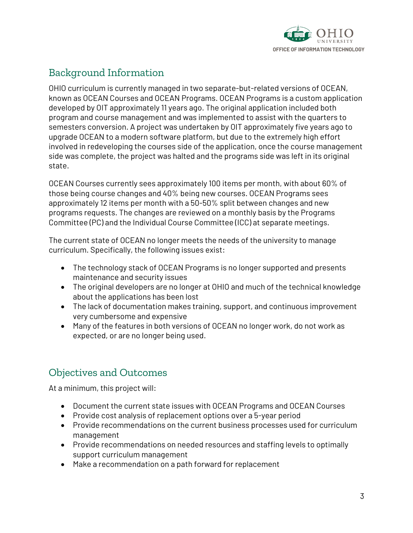

## Background Information

OHIO curriculum is currently managed in two separate-but-related versions of OCEAN, known as OCEAN Courses and OCEAN Programs. OCEAN Programs is a custom application developed by OIT approximately 11 years ago. The original application included both program and course management and was implemented to assist with the quarters to semesters conversion. A project was undertaken by OIT approximately five years ago to upgrade OCEAN to a modern software platform, but due to the extremely high effort involved in redeveloping the courses side of the application, once the course management side was complete, the project was halted and the programs side was left in its original state.

OCEAN Courses currently sees approximately 100 items per month, with about 60% of those being course changes and 40% being new courses. OCEAN Programs sees approximately 12 items per month with a 50-50% split between changes and new programs requests. The changes are reviewed on a monthly basis by the Programs Committee (PC) and the Individual Course Committee (ICC) at separate meetings.

The current state of OCEAN no longer meets the needs of the university to manage curriculum. Specifically, the following issues exist:

- The technology stack of OCEAN Programs is no longer supported and presents maintenance and security issues
- The original developers are no longer at OHIO and much of the technical knowledge about the applications has been lost
- The lack of documentation makes training, support, and continuous improvement very cumbersome and expensive
- Many of the features in both versions of OCEAN no longer work, do not work as expected, or are no longer being used.

## Objectives and Outcomes

At a minimum, this project will:

- Document the current state issues with OCEAN Programs and OCEAN Courses
- Provide cost analysis of replacement options over a 5-year period
- Provide recommendations on the current business processes used for curriculum management
- Provide recommendations on needed resources and staffing levels to optimally support curriculum management
- Make a recommendation on a path forward for replacement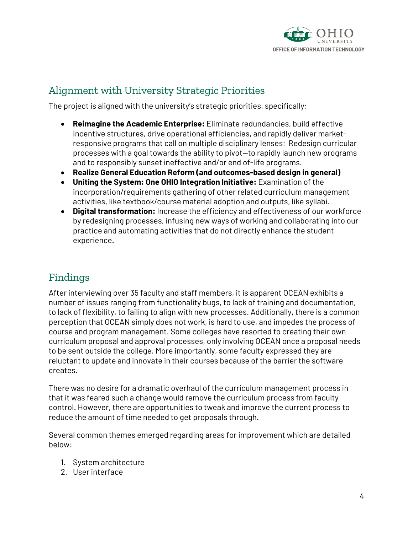

## Alignment with University Strategic Priorities

The project is aligned with the university's strategic priorities, specifically:

- **Reimagine the Academic Enterprise:** Eliminate redundancies, build effective incentive structures, drive operational efficiencies, and rapidly deliver marketresponsive programs that call on multiple disciplinary lenses; Redesign curricular processes with a goal towards the ability to pivot—to rapidly launch new programs and to responsibly sunset ineffective and/or end of-life programs.
- **Realize General Education Reform (and outcomes-based design in general)**
- **Uniting the System: One OHIO Integration Initiative:** Examination of the incorporation/requirements gathering of other related curriculum management activities, like textbook/course material adoption and outputs, like syllabi.
- **Digital transformation:** Increase the efficiency and effectiveness of our workforce by redesigning processes, infusing new ways of working and collaborating into our practice and automating activities that do not directly enhance the student experience.

## Findings

After interviewing over 35 faculty and staff members, it is apparent OCEAN exhibits a number of issues ranging from functionality bugs, to lack of training and documentation, to lack of flexibility, to failing to align with new processes. Additionally, there is a common perception that OCEAN simply does not work, is hard to use, and impedes the process of course and program management. Some colleges have resorted to creating their own curriculum proposal and approval processes, only involving OCEAN once a proposal needs to be sent outside the college. More importantly, some faculty expressed they are reluctant to update and innovate in their courses because of the barrier the software creates.

There was no desire for a dramatic overhaul of the curriculum management process in that it was feared such a change would remove the curriculum process from faculty control. However, there are opportunities to tweak and improve the current process to reduce the amount of time needed to get proposals through.

Several common themes emerged regarding areas for improvement which are detailed below:

- 1. System architecture
- 2. User interface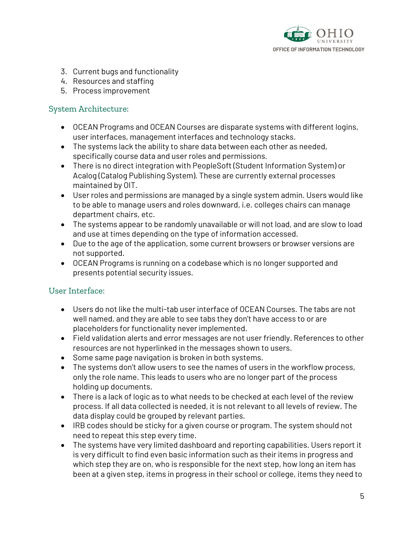

- 3. Current bugs and functionality
- 4. Resources and staffing
- 5. Process improvement

#### System Architecture:

- OCEAN Programs and OCEAN Courses are disparate systems with different logins, user interfaces, management interfaces and technology stacks.
- The systems lack the ability to share data between each other as needed, specifically course data and user roles and permissions.
- There is no direct integration with PeopleSoft (Student Information System) or Acalog (Catalog Publishing System). These are currently external processes maintained by OIT.
- User roles and permissions are managed by a single system admin. Users would like to be able to manage users and roles downward, i.e. colleges chairs can manage department chairs, etc.
- The systems appear to be randomly unavailable or will not load, and are slow to load and use at times depending on the type of information accessed.
- Due to the age of the application, some current browsers or browser versions are not supported.
- OCEAN Programs is running on a codebase which is no longer supported and presents potential security issues.

#### User Interface:

- Users do not like the multi-tab user interface of OCEAN Courses. The tabs are not well named, and they are able to see tabs they don't have access to or are placeholders for functionality never implemented.
- Field validation alerts and error messages are not user friendly. References to other resources are not hyperlinked in the messages shown to users.
- Some same page navigation is broken in both systems.
- The systems don't allow users to see the names of users in the workflow process, only the role name. This leads to users who are no longer part of the process holding up documents.
- There is a lack of logic as to what needs to be checked at each level of the review process. If all data collected is needed, it is not relevant to all levels of review. The data display could be grouped by relevant parties.
- IRB codes should be sticky for a given course or program. The system should not need to repeat this step every time.
- The systems have very limited dashboard and reporting capabilities. Users report it is very difficult to find even basic information such as their items in progress and which step they are on, who is responsible for the next step, how long an item has been at a given step, items in progress in their school or college, items they need to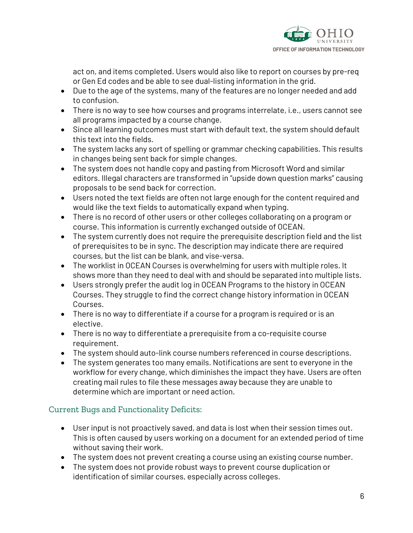

act on, and items completed. Users would also like to report on courses by pre-req or Gen Ed codes and be able to see dual-listing information in the grid.

- Due to the age of the systems, many of the features are no longer needed and add to confusion.
- There is no way to see how courses and programs interrelate, i.e., users cannot see all programs impacted by a course change.
- Since all learning outcomes must start with default text, the system should default this text into the fields.
- The system lacks any sort of spelling or grammar checking capabilities. This results in changes being sent back for simple changes.
- The system does not handle copy and pasting from Microsoft Word and similar editors. Illegal characters are transformed in "upside down question marks" causing proposals to be send back for correction.
- Users noted the text fields are often not large enough for the content required and would like the text fields to automatically expand when typing.
- There is no record of other users or other colleges collaborating on a program or course. This information is currently exchanged outside of OCEAN.
- The system currently does not require the prerequisite description field and the list of prerequisites to be in sync. The description may indicate there are required courses, but the list can be blank, and vise-versa.
- The worklist in OCEAN Courses is overwhelming for users with multiple roles. It shows more than they need to deal with and should be separated into multiple lists.
- Users strongly prefer the audit log in OCEAN Programs to the history in OCEAN Courses. They struggle to find the correct change history information in OCEAN Courses.
- There is no way to differentiate if a course for a program is required or is an elective.
- There is no way to differentiate a prerequisite from a co-requisite course requirement.
- The system should auto-link course numbers referenced in course descriptions.
- The system generates too many emails. Notifications are sent to everyone in the workflow for every change, which diminishes the impact they have. Users are often creating mail rules to file these messages away because they are unable to determine which are important or need action.

### Current Bugs and Functionality Deficits:

- User input is not proactively saved, and data is lost when their session times out. This is often caused by users working on a document for an extended period of time without saving their work.
- The system does not prevent creating a course using an existing course number.
- The system does not provide robust ways to prevent course duplication or identification of similar courses, especially across colleges.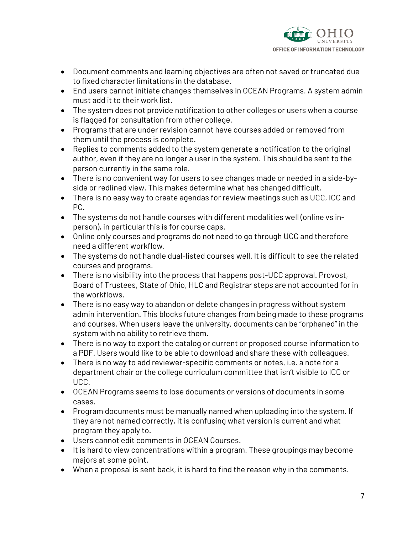

- Document comments and learning objectives are often not saved or truncated due to fixed character limitations in the database.
- End users cannot initiate changes themselves in OCEAN Programs. A system admin must add it to their work list.
- The system does not provide notification to other colleges or users when a course is flagged for consultation from other college.
- Programs that are under revision cannot have courses added or removed from them until the process is complete.
- Replies to comments added to the system generate a notification to the original author, even if they are no longer a user in the system. This should be sent to the person currently in the same role.
- There is no convenient way for users to see changes made or needed in a side-byside or redlined view. This makes determine what has changed difficult.
- There is no easy way to create agendas for review meetings such as UCC, ICC and PC.
- The systems do not handle courses with different modalities well (online vs inperson), in particular this is for course caps.
- Online only courses and programs do not need to go through UCC and therefore need a different workflow.
- The systems do not handle dual-listed courses well. It is difficult to see the related courses and programs.
- There is no visibility into the process that happens post-UCC approval. Provost, Board of Trustees, State of Ohio, HLC and Registrar steps are not accounted for in the workflows.
- There is no easy way to abandon or delete changes in progress without system admin intervention. This blocks future changes from being made to these programs and courses. When users leave the university, documents can be "orphaned" in the system with no ability to retrieve them.
- There is no way to export the catalog or current or proposed course information to a PDF. Users would like to be able to download and share these with colleagues.
- There is no way to add reviewer-specific comments or notes, i.e. a note for a department chair or the college curriculum committee that isn't visible to ICC or UCC.
- OCEAN Programs seems to lose documents or versions of documents in some cases.
- Program documents must be manually named when uploading into the system. If they are not named correctly, it is confusing what version is current and what program they apply to.
- Users cannot edit comments in OCEAN Courses.
- It is hard to view concentrations within a program. These groupings may become majors at some point.
- When a proposal is sent back, it is hard to find the reason why in the comments.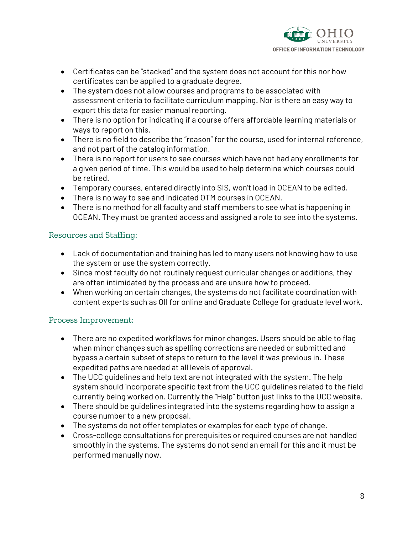

- Certificates can be "stacked" and the system does not account for this nor how certificates can be applied to a graduate degree.
- The system does not allow courses and programs to be associated with assessment criteria to facilitate curriculum mapping. Nor is there an easy way to export this data for easier manual reporting.
- There is no option for indicating if a course offers affordable learning materials or ways to report on this.
- There is no field to describe the "reason" for the course, used for internal reference, and not part of the catalog information.
- There is no report for users to see courses which have not had any enrollments for a given period of time. This would be used to help determine which courses could be retired.
- Temporary courses, entered directly into SIS, won't load in OCEAN to be edited.
- There is no way to see and indicated OTM courses in OCEAN.
- There is no method for all faculty and staff members to see what is happening in OCEAN. They must be granted access and assigned a role to see into the systems.

#### Resources and Staffing:

- Lack of documentation and training has led to many users not knowing how to use the system or use the system correctly.
- Since most faculty do not routinely request curricular changes or additions, they are often intimidated by the process and are unsure how to proceed.
- When working on certain changes, the systems do not facilitate coordination with content experts such as OII for online and Graduate College for graduate level work.

### Process Improvement:

- There are no expedited workflows for minor changes. Users should be able to flag when minor changes such as spelling corrections are needed or submitted and bypass a certain subset of steps to return to the level it was previous in. These expedited paths are needed at all levels of approval.
- The UCC guidelines and help text are not integrated with the system. The help system should incorporate specific text from the UCC guidelines related to the field currently being worked on. Currently the "Help" button just links to the UCC website.
- There should be guidelines integrated into the systems regarding how to assign a course number to a new proposal.
- The systems do not offer templates or examples for each type of change.
- Cross-college consultations for prerequisites or required courses are not handled smoothly in the systems. The systems do not send an email for this and it must be performed manually now.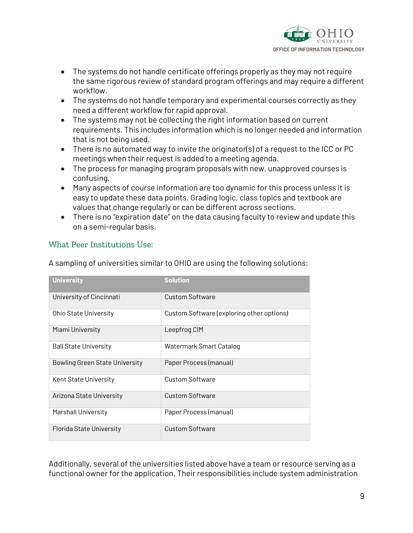

- The systems do not handle certificate offerings properly as they may not require the same rigorous review of standard program offerings and may require a different workflow.
- The systems do not handle temporary and experimental courses correctly as they need a different workflow for rapid approval.
- The systems may not be collecting the right information based on current requirements. This includes information which is no longer needed and information that is not being used.
- There is no automated way to invite the originator(s) of a request to the ICC or PC meetings when their request is added to a meeting agenda.
- The process for managing program proposals with new, unapproved courses is confusing.
- Many aspects of course information are too dynamic for this process unless it is easy to update these data points. Grading logic, class topics and textbook are values that change regularly or can be different across sections.
- There is no "expiration date" on the data causing faculty to review and update this on a semi-regular basis.

#### What Peer Institutions Use:

| <b>University</b>              | <b>Solution</b>                           |
|--------------------------------|-------------------------------------------|
| University of Cincinnati       | Custom Software                           |
| Ohio State University          | Custom Software (exploring other options) |
| Miami University               | Leepfrog CIM                              |
| <b>Ball State University</b>   | Watermark Smart Catalog                   |
| Bowling Green State University | Paper Process (manual)                    |
| Kent State University          | Custom Software                           |
| Arizona State University       | <b>Custom Software</b>                    |
| <b>Marshall University</b>     | Paper Process (manual)                    |
| Florida State University       | Custom Software                           |

A sampling of universities similar to OHIO are using the following solutions:

Additionally, several of the universities listed above have a team or resource serving as a functional owner for the application. Their responsibilities include system administration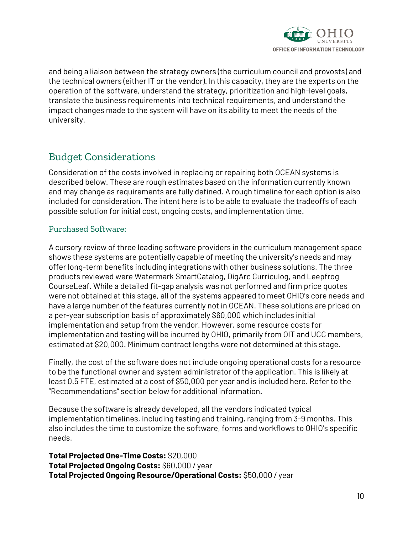

and being a liaison between the strategy owners (the curriculum council and provosts) and the technical owners (either IT or the vendor). In this capacity, they are the experts on the operation of the software, understand the strategy, prioritization and high-level goals, translate the business requirements into technical requirements, and understand the impact changes made to the system will have on its ability to meet the needs of the university.

## Budget Considerations

Consideration of the costs involved in replacing or repairing both OCEAN systems is described below. These are rough estimates based on the information currently known and may change as requirements are fully defined. A rough timeline for each option is also included for consideration. The intent here is to be able to evaluate the tradeoffs of each possible solution for initial cost, ongoing costs, and implementation time.

#### Purchased Software:

A cursory review of three leading software providers in the curriculum management space shows these systems are potentially capable of meeting the university's needs and may offer long-term benefits including integrations with other business solutions. The three products reviewed were Watermark SmartCatalog, DigArc Curriculog, and Leepfrog CourseLeaf. While a detailed fit-gap analysis was not performed and firm price quotes were not obtained at this stage, all of the systems appeared to meet OHIO's core needs and have a large number of the features currently not in OCEAN. These solutions are priced on a per-year subscription basis of approximately \$60,000 which includes initial implementation and setup from the vendor. However, some resource costs for implementation and testing will be incurred by OHIO, primarily from OIT and UCC members, estimated at \$20,000. Minimum contract lengths were not determined at this stage.

Finally, the cost of the software does not include ongoing operational costs for a resource to be the functional owner and system administrator of the application. This is likely at least 0.5 FTE, estimated at a cost of \$50,000 per year and is included here. Refer to the "Recommendations" section below for additional information.

Because the software is already developed, all the vendors indicated typical implementation timelines, including testing and training, ranging from 3-9 months. This also includes the time to customize the software, forms and workflows to OHIO's specific needs.

**Total Projected One-Time Costs:** \$20,000 **Total Projected Ongoing Costs:** \$60,000 / year **Total Projected Ongoing Resource/Operational Costs:** \$50,000 / year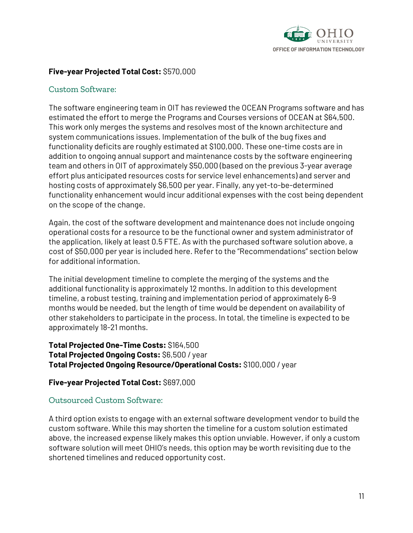

#### **Five-year Projected Total Cost:** \$570,000

#### Custom Software:

The software engineering team in OIT has reviewed the OCEAN Programs software and has estimated the effort to merge the Programs and Courses versions of OCEAN at \$64,500. This work only merges the systems and resolves most of the known architecture and system communications issues. Implementation of the bulk of the bug fixes and functionality deficits are roughly estimated at \$100,000. These one-time costs are in addition to ongoing annual support and maintenance costs by the software engineering team and others in OIT of approximately \$50,000 (based on the previous 3-year average effort plus anticipated resources costs for service level enhancements) and server and hosting costs of approximately \$6,500 per year. Finally, any yet-to-be-determined functionality enhancement would incur additional expenses with the cost being dependent on the scope of the change.

Again, the cost of the software development and maintenance does not include ongoing operational costs for a resource to be the functional owner and system administrator of the application, likely at least 0.5 FTE. As with the purchased software solution above, a cost of \$50,000 per year is included here. Refer to the "Recommendations" section below for additional information.

The initial development timeline to complete the merging of the systems and the additional functionality is approximately 12 months. In addition to this development timeline, a robust testing, training and implementation period of approximately 6-9 months would be needed, but the length of time would be dependent on availability of other stakeholders to participate in the process. In total, the timeline is expected to be approximately 18-21 months.

**Total Projected One-Time Costs:** \$164,500 **Total Projected Ongoing Costs:** \$6,500 / year **Total Projected Ongoing Resource/Operational Costs:** \$100,000 / year

#### **Five-year Projected Total Cost:** \$697,000

#### Outsourced Custom Software:

A third option exists to engage with an external software development vendor to build the custom software. While this may shorten the timeline for a custom solution estimated above, the increased expense likely makes this option unviable. However, if only a custom software solution will meet OHIO's needs, this option may be worth revisiting due to the shortened timelines and reduced opportunity cost.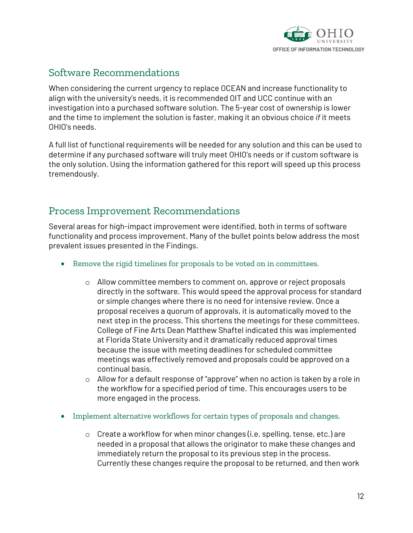

## Software Recommendations

When considering the current urgency to replace OCEAN and increase functionality to align with the university's needs, it is recommended OIT and UCC continue with an investigation into a purchased software solution. The 5-year cost of ownership is lower and the time to implement the solution is faster, making it an obvious choice *if* it meets OHIO's needs.

A full list of functional requirements will be needed for any solution and this can be used to determine if any purchased software will truly meet OHIO's needs or if custom software is the only solution. Using the information gathered for this report will speed up this process tremendously.

## Process Improvement Recommendations

Several areas for high-impact improvement were identified, both in terms of software functionality and process improvement. Many of the bullet points below address the most prevalent issues presented in the Findings.

- Remove the rigid timelines for proposals to be voted on in committees.
	- o Allow committee members to comment on, approve or reject proposals directly in the software. This would speed the approval process for standard or simple changes where there is no need for intensive review. Once a proposal receives a quorum of approvals, it is automatically moved to the next step in the process. This shortens the meetings for these committees. College of Fine Arts Dean Matthew Shaftel indicated this was implemented at Florida State University and it dramatically reduced approval times because the issue with meeting deadlines for scheduled committee meetings was effectively removed and proposals could be approved on a continual basis.
	- $\circ$  Allow for a default response of "approve" when no action is taken by a role in the workflow for a specified period of time. This encourages users to be more engaged in the process.
- Implement alternative workflows for certain types of proposals and changes.
	- $\circ$  Create a workflow for when minor changes (i.e. spelling, tense, etc.) are needed in a proposal that allows the originator to make these changes and immediately return the proposal to its previous step in the process. Currently these changes require the proposal to be returned, and then work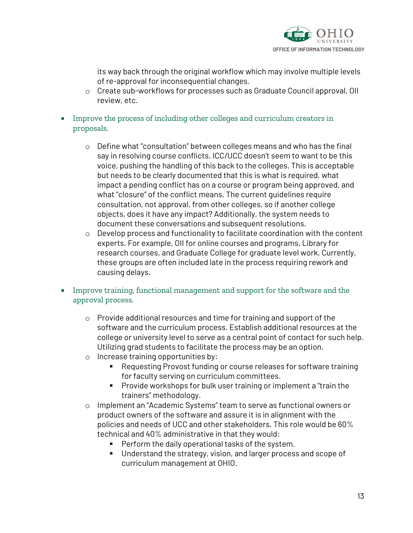

its way back through the original workflow which may involve multiple levels of re-approval for inconsequential changes.

- o Create sub-workflows for processes such as Graduate Council approval, OII review, etc.
- Improve the process of including other colleges and curriculum creators in proposals.
	- $\circ$  Define what "consultation" between colleges means and who has the final say in resolving course conflicts. ICC/UCC doesn't seem to want to be this voice, pushing the handling of this back to the colleges. This is acceptable but needs to be clearly documented that this is what is required, what impact a pending conflict has on a course or program being approved, and what "closure" of the conflict means. The current guidelines require consultation, not approval, from other colleges, so if another college objects, does it have any impact? Additionally, the system needs to document these conversations and subsequent resolutions.
	- o Develop process and functionality to facilitate coordination with the content experts. For example, OII for online courses and programs, Library for research courses, and Graduate College for graduate level work. Currently, these groups are often included late in the process requiring rework and causing delays.
- Improve training, functional management and support for the software and the approval process.
	- o Provide additional resources and time for training and support of the software and the curriculum process. Establish additional resources at the college or university level to serve as a central point of contact for such help. Utilizing grad students to facilitate the process may be an option.
	- o Increase training opportunities by:
		- Requesting Provost funding or course releases for software training for faculty serving on curriculum committees.
		- Provide workshops for bulk user training or implement a "train the trainers" methodology.
	- o Implement an "Academic Systems" team to serve as functional owners or product owners of the software and assure it is in alignment with the policies and needs of UCC and other stakeholders. This role would be 60% technical and 40% administrative in that they would:
		- Perform the daily operational tasks of the system.
		- Understand the strategy, vision, and larger process and scope of curriculum management at OHIO.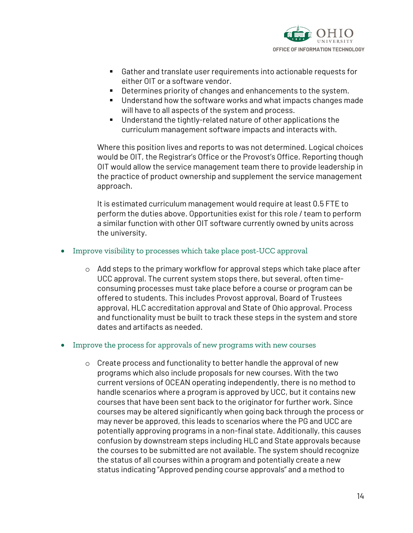

- Gather and translate user requirements into actionable requests for either OIT or a software vendor.
- Determines priority of changes and enhancements to the system.
- Understand how the software works and what impacts changes made will have to all aspects of the system and process.
- Understand the tightly-related nature of other applications the curriculum management software impacts and interacts with.

Where this position lives and reports to was not determined. Logical choices would be OIT, the Registrar's Office or the Provost's Office. Reporting though OIT would allow the service management team there to provide leadership in the practice of product ownership and supplement the service management approach.

It is estimated curriculum management would require at least 0.5 FTE to perform the duties above. Opportunities exist for this role / team to perform a similar function with other OIT software currently owned by units across the university.

- Improve visibility to processes which take place post-UCC approval
	- $\circ$  Add steps to the primary workflow for approval steps which take place after UCC approval. The current system stops there, but several, often timeconsuming processes must take place before a course or program can be offered to students. This includes Provost approval, Board of Trustees approval, HLC accreditation approval and State of Ohio approval. Process and functionality must be built to track these steps in the system and store dates and artifacts as needed.

#### • Improve the process for approvals of new programs with new courses

o Create process and functionality to better handle the approval of new programs which also include proposals for new courses. With the two current versions of OCEAN operating independently, there is no method to handle scenarios where a program is approved by UCC, but it contains new courses that have been sent back to the originator for further work. Since courses may be altered significantly when going back through the process or may never be approved, this leads to scenarios where the PG and UCC are potentially approving programs in a non-final state. Additionally, this causes confusion by downstream steps including HLC and State approvals because the courses to be submitted are not available. The system should recognize the status of all courses within a program and potentially create a new status indicating "Approved pending course approvals" and a method to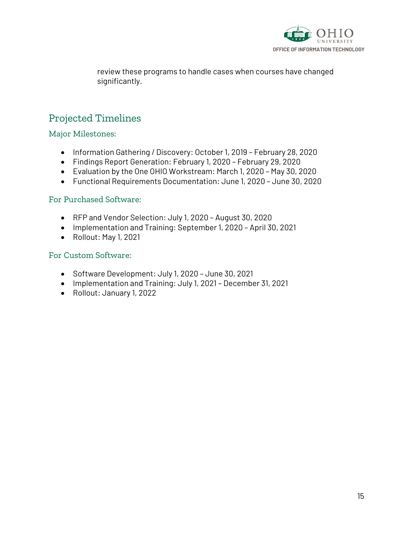

review these programs to handle cases when courses have changed significantly.

## Projected Timelines

Major Milestones:

- Information Gathering / Discovery: October 1, 2019 February 28, 2020
- Findings Report Generation: February 1, 2020 February 29, 2020
- Evaluation by the One OHIO Workstream: March 1, 2020 May 30, 2020
- Functional Requirements Documentation: June 1, 2020 June 30, 2020

#### For Purchased Software:

- RFP and Vendor Selection: July 1, 2020 August 30, 2020
- Implementation and Training: September 1, 2020 April 30, 2021
- Rollout: May 1, 2021

#### For Custom Software:

- Software Development: July 1, 2020 June 30, 2021
- Implementation and Training: July 1, 2021 December 31, 2021
- Rollout: January 1, 2022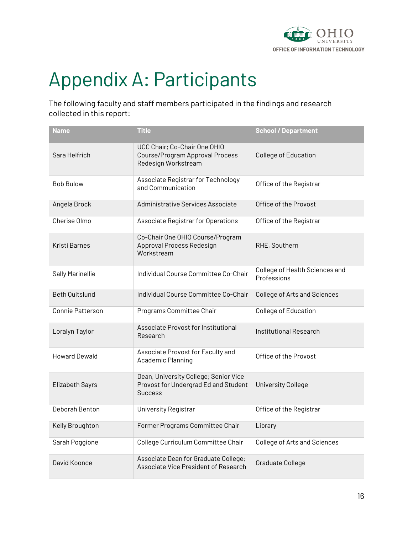

# Appendix A: Participants

The following faculty and staff members participated in the findings and research collected in this report:

| <b>Name</b>          | <b>Title</b>                                                                                    | <b>School / Department</b>                    |
|----------------------|-------------------------------------------------------------------------------------------------|-----------------------------------------------|
| Sara Helfrich        | UCC Chair; Co-Chair One OHIO<br>Course/Program Approval Process<br>Redesign Workstream          | College of Education                          |
| <b>Bob Bulow</b>     | Associate Registrar for Technology<br>and Communication                                         | Office of the Registrar                       |
| Angela Brock         | Administrative Services Associate                                                               | Office of the Provost                         |
| Cherise Olmo         | Associate Registrar for Operations                                                              | Office of the Registrar                       |
| Kristi Barnes        | Co-Chair One OHIO Course/Program<br>Approval Process Redesign<br>Workstream                     | RHE, Southern                                 |
| Sally Marinellie     | Individual Course Committee Co-Chair                                                            | College of Health Sciences and<br>Professions |
| Beth Quitslund       | Individual Course Committee Co-Chair                                                            | <b>College of Arts and Sciences</b>           |
| Connie Patterson     | Programs Committee Chair                                                                        | College of Education                          |
| Loralyn Taylor       | Associate Provost for Institutional<br>Research                                                 | Institutional Research                        |
| <b>Howard Dewald</b> | Associate Provost for Faculty and<br>Academic Planning                                          | Office of the Provost                         |
| Elizabeth Sayrs      | Dean, University College; Senior Vice<br>Provost for Undergrad Ed and Student<br><b>Success</b> | <b>University College</b>                     |
| Deborah Benton       | University Registrar                                                                            | Office of the Registrar                       |
| Kelly Broughton      | Former Programs Committee Chair                                                                 | Library                                       |
| Sarah Poggione       | College Curriculum Committee Chair                                                              | <b>College of Arts and Sciences</b>           |
| David Koonce         | Associate Dean for Graduate College;<br>Associate Vice President of Research                    | Graduate College                              |